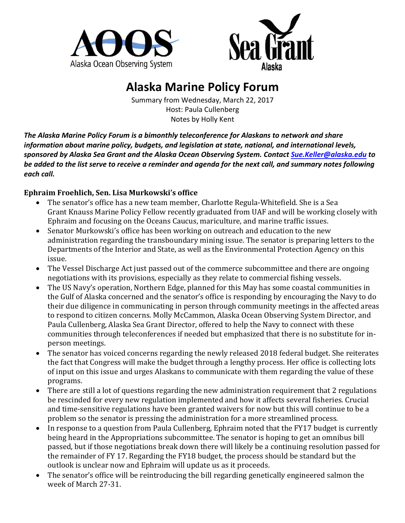



# **Alaska Marine Policy Forum**

Summary from Wednesday, March 22, 2017 Host: Paula Cullenberg Notes by Holly Kent

The Alaska Marine Policy Forum is a bimonthly teleconference for Alaskans to network and share *information about marine policy, budgets, and legislation at state, national, and international levels, sponsored by Alaska Sea Grant and the Alaska Ocean Observing System. Contact [Sue.Keller@alaska.edu](mailto:Sue.Keller@alaska.edu) to*  be added to the list serve to receive a reminder and agenda for the next call, and summary notes following each call.

# **Ephraim Froehlich, Sen. Lisa Murkowski's office**

- The senator's office has a new team member, Charlotte Regula-Whitefield. She is a Sea Grant Knauss Marine Policy Fellow recently graduated from UAF and will be working closely with Ephraim and focusing on the Oceans Caucus, mariculture, and marine traffic issues.
- Senator Murkowski's office has been working on outreach and education to the new administration regarding the transboundary mining issue. The senator is preparing letters to the Departments of the Interior and State, as well as the Environmental Protection Agency on this issue.
- The Vessel Discharge Act just passed out of the commerce subcommittee and there are ongoing negotiations with its provisions, especially as they relate to commercial fishing vessels.
- The US Navy's operation, Northern Edge, planned for this May has some coastal communities in the Gulf of Alaska concerned and the senator's office is responding by encouraging the Navy to do their due diligence in communicating in person through community meetings in the affected areas to respond to citizen concerns. Molly McCammon, Alaska Ocean Observing System Director, and Paula Cullenberg, Alaska Sea Grant Director, offered to help the Navy to connect with these communities through teleconferences if needed but emphasized that there is no substitute for inperson meetings.
- The senator has voiced concerns regarding the newly released 2018 federal budget. She reiterates the fact that Congress will make the budget through a lengthy process. Her office is collecting lots of input on this issue and urges Alaskans to communicate with them regarding the value of these programs.
- There are still a lot of questions regarding the new administration requirement that 2 regulations be rescinded for every new regulation implemented and how it affects several fisheries. Crucial and time-sensitive regulations have been granted waivers for now but this will continue to be a problem so the senator is pressing the administration for a more streamlined process.
- In response to a question from Paula Cullenberg, Ephraim noted that the FY17 budget is currently being heard in the Appropriations subcommittee. The senator is hoping to get an omnibus bill passed, but if those negotiations break down there will likely be a continuing resolution passed for the remainder of FY 17. Regarding the FY18 budget, the process should be standard but the outlook is unclear now and Ephraim will update us as it proceeds.
- The senator's office will be reintroducing the bill regarding genetically engineered salmon the week of March 27-31.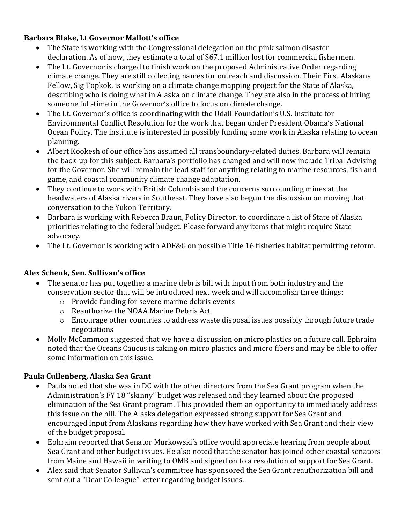## **Barbara Blake, Lt Governor Mallott's office**

- The State is working with the Congressional delegation on the pink salmon disaster declaration. As of now, they estimate a total of \$67.1 million lost for commercial fishermen.
- The Lt. Governor is charged to finish work on the proposed Administrative Order regarding climate change. They are still collecting names for outreach and discussion. Their First Alaskans Fellow, Sig Topkok, is working on a climate change mapping project for the State of Alaska, describing who is doing what in Alaska on climate change. They are also in the process of hiring someone full-time in the Governor's office to focus on climate change.
- The Lt. Governor's office is coordinating with the Udall Foundation's U.S. Institute for Environmental Conflict Resolution for the work that began under President Obama's National Ocean Policy. The institute is interested in possibly funding some work in Alaska relating to ocean planning.
- Albert Kookesh of our office has assumed all transboundary-related duties. Barbara will remain the back-up for this subject. Barbara's portfolio has changed and will now include Tribal Advising for the Governor. She will remain the lead staff for anything relating to marine resources, fish and game, and coastal community climate change adaptation.
- They continue to work with British Columbia and the concerns surrounding mines at the headwaters of Alaska rivers in Southeast. They have also begun the discussion on moving that conversation to the Yukon Territory**.**
- Barbara is working with Rebecca Braun, Policy Director, to coordinate a list of State of Alaska priorities relating to the federal budget. Please forward any items that might require State advocacy.
- The Lt. Governor is working with ADF&G on possible Title 16 fisheries habitat permitting reform.

## **Alex Schenk, Sen. Sullivan's office**

- The senator has put together a marine debris bill with input from both industry and the conservation sector that will be introduced next week and will accomplish three things:
	- $\circ$  Provide funding for severe marine debris events
	- $\circ$  Reauthorize the NOAA Marine Debris Act
	- $\circ$  Encourage other countries to address waste disposal issues possibly through future trade negotiations
- Molly McCammon suggested that we have a discussion on micro plastics on a future call. Ephraim noted that the Oceans Caucus is taking on micro plastics and micro fibers and may be able to offer some information on this issue.

# **Paula Cullenberg, Alaska Sea Grant**

- Paula noted that she was in DC with the other directors from the Sea Grant program when the Administration's FY 18 "skinny" budget was released and they learned about the proposed elimination of the Sea Grant program. This provided them an opportunity to immediately address this issue on the hill. The Alaska delegation expressed strong support for Sea Grant and encouraged input from Alaskans regarding how they have worked with Sea Grant and their view of the budget proposal.
- Ephraim reported that Senator Murkowski's office would appreciate hearing from people about Sea Grant and other budget issues. He also noted that the senator has joined other coastal senators from Maine and Hawaii in writing to OMB and signed on to a resolution of support for Sea Grant.
- Alex said that Senator Sullivan's committee has sponsored the Sea Grant reauthorization bill and sent out a "Dear Colleague" letter regarding budget issues.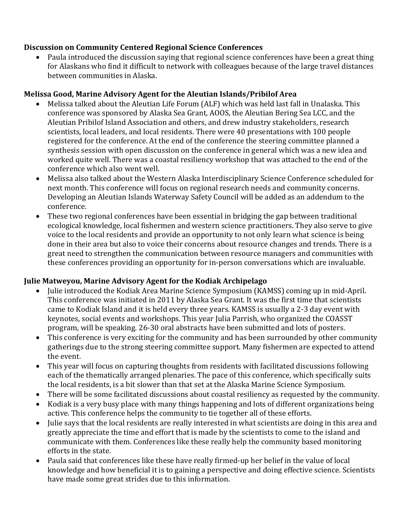## **Discussion on Community Centered Regional Science Conferences**

Paula introduced the discussion saying that regional science conferences have been a great thing for Alaskans who find it difficult to network with colleagues because of the large travel distances between communities in Alaska.

#### **Melissa Good, Marine Advisory Agent for the Aleutian Islands/Pribilof Area**

- Melissa talked about the Aleutian Life Forum (ALF) which was held last fall in Unalaska. This conference was sponsored by Alaska Sea Grant, AOOS, the Aleutian Bering Sea LCC, and the Aleutian Pribilof Island Association and others, and drew industry stakeholders, research scientists, local leaders, and local residents. There were 40 presentations with 100 people registered for the conference. At the end of the conference the steering committee planned a synthesis session with open discussion on the conference in general which was a new idea and worked quite well. There was a coastal resiliency workshop that was attached to the end of the conference which also went well.
- Melissa also talked about the Western Alaska Interdisciplinary Science Conference scheduled for next month. This conference will focus on regional research needs and community concerns. Developing an Aleutian Islands Waterway Safety Council will be added as an addendum to the conference.
- These two regional conferences have been essential in bridging the gap between traditional ecological knowledge, local fishermen and western science practitioners. They also serve to give voice to the local residents and provide an opportunity to not only learn what science is being done in their area but also to voice their concerns about resource changes and trends. There is a great need to strengthen the communication between resource managers and communities with these conferences providing an opportunity for in-person conversations which are invaluable.

#### **Julie Matweyou, Marine Advisory Agent for the Kodiak Archipelago**

- Iulie introduced the Kodiak Area Marine Science Symposium (KAMSS) coming up in mid-April. This conference was initiated in 2011 by Alaska Sea Grant. It was the first time that scientists came to Kodiak Island and it is held every three years. KAMSS is usually a 2-3 day event with keynotes, social events and workshops. This year Julia Parrish, who organized the COASST program, will be speaking. 26-30 oral abstracts have been submitted and lots of posters.
- This conference is very exciting for the community and has been surrounded by other community gatherings due to the strong steering committee support. Many fishermen are expected to attend the event.
- This year will focus on capturing thoughts from residents with facilitated discussions following each of the thematically arranged plenaries. The pace of this conference, which specifically suits the local residents, is a bit slower than that set at the Alaska Marine Science Symposium.
- There will be some facilitated discussions about coastal resiliency as requested by the community.
- Kodiak is a very busy place with many things happening and lots of different organizations being active. This conference helps the community to tie together all of these efforts.
- Julie says that the local residents are really interested in what scientists are doing in this area and greatly appreciate the time and effort that is made by the scientists to come to the island and communicate with them. Conferences like these really help the community based monitoring efforts in the state.
- Paula said that conferences like these have really firmed-up her belief in the value of local knowledge and how beneficial it is to gaining a perspective and doing effective science. Scientists have made some great strides due to this information.